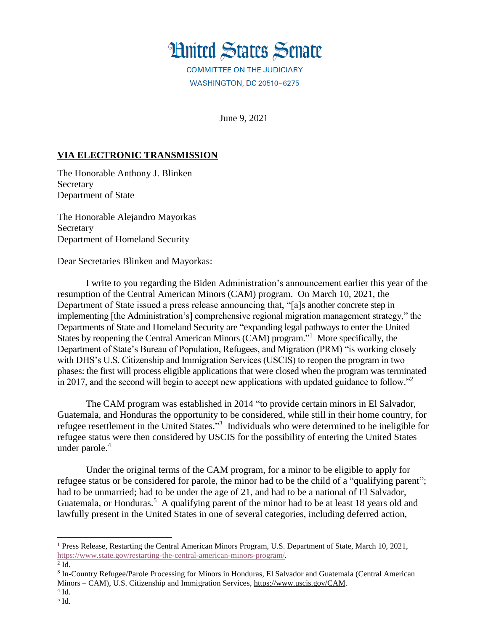

**WASHINGTON, DC 20510-6275** 

June 9, 2021

## **VIA ELECTRONIC TRANSMISSION**

The Honorable Anthony J. Blinken Secretary Department of State

The Honorable Alejandro Mayorkas Secretary Department of Homeland Security

Dear Secretaries Blinken and Mayorkas:

I write to you regarding the Biden Administration's announcement earlier this year of the resumption of the Central American Minors (CAM) program. On March 10, 2021, the Department of State issued a press release announcing that, "[a]s another concrete step in implementing [the Administration's] comprehensive regional migration management strategy," the Departments of State and Homeland Security are "expanding legal pathways to enter the United States by reopening the Central American Minors (CAM) program."<sup>1</sup> More specifically, the Department of State's Bureau of Population, Refugees, and Migration (PRM) "is working closely with DHS's U.S. Citizenship and Immigration Services (USCIS) to reopen the program in two phases: the first will process eligible applications that were closed when the program was terminated in 2017, and the second will begin to accept new applications with updated guidance to follow."<sup>2</sup>

The CAM program was established in 2014 "to provide certain minors in El Salvador, Guatemala, and Honduras the opportunity to be considered, while still in their home country, for refugee resettlement in the United States."<sup>3</sup> Individuals who were determined to be ineligible for refugee status were then considered by USCIS for the possibility of entering the United States under parole.<sup>4</sup>

Under the original terms of the CAM program, for a minor to be eligible to apply for refugee status or be considered for parole, the minor had to be the child of a "qualifying parent"; had to be unmarried; had to be under the age of 21, and had to be a national of El Salvador, Guatemala, or Honduras.<sup>5</sup> A qualifying parent of the minor had to be at least 18 years old and lawfully present in the United States in one of several categories, including deferred action,

l

<sup>1</sup> Press Release, Restarting the Central American Minors Program, U.S. Department of State, March 10, 2021, [https://www.state.gov/restarting-the-central-american-minors-program/.](https://www.state.gov/restarting-the-central-american-minors-program/)

 $2$  Id.

**<sup>3</sup>** In-Country Refugee/Parole Processing for Minors in Honduras, El Salvador and Guatemala (Central American Minors – CAM), U.S. Citizenship and Immigration Services, [https://www.uscis.gov/CAM.](https://www.uscis.gov/CAM)

 $4$  Id.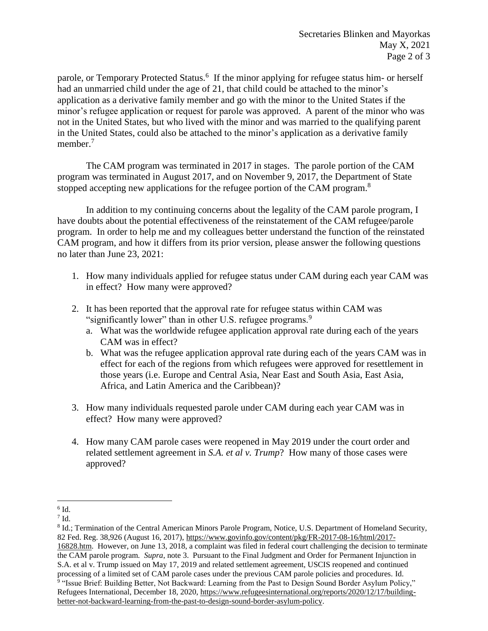parole, or Temporary Protected Status.<sup>6</sup> If the minor applying for refugee status him- or herself had an unmarried child under the age of 21, that child could be attached to the minor's application as a derivative family member and go with the minor to the United States if the minor's refugee application or request for parole was approved. A parent of the minor who was not in the United States, but who lived with the minor and was married to the qualifying parent in the United States, could also be attached to the minor's application as a derivative family member.<sup>7</sup>

The CAM program was terminated in 2017 in stages. The parole portion of the CAM program was terminated in August 2017, and on November 9, 2017, the Department of State stopped accepting new applications for the refugee portion of the CAM program.<sup>8</sup>

In addition to my continuing concerns about the legality of the CAM parole program, I have doubts about the potential effectiveness of the reinstatement of the CAM refugee/parole program. In order to help me and my colleagues better understand the function of the reinstated CAM program, and how it differs from its prior version, please answer the following questions no later than June 23, 2021:

- 1. How many individuals applied for refugee status under CAM during each year CAM was in effect? How many were approved?
- 2. It has been reported that the approval rate for refugee status within CAM was "significantly lower" than in other U.S. refugee programs.<sup>9</sup>
	- a. What was the worldwide refugee application approval rate during each of the years CAM was in effect?
	- b. What was the refugee application approval rate during each of the years CAM was in effect for each of the regions from which refugees were approved for resettlement in those years (i.e. Europe and Central Asia, Near East and South Asia, East Asia, Africa, and Latin America and the Caribbean)?
- 3. How many individuals requested parole under CAM during each year CAM was in effect? How many were approved?
- 4. How many CAM parole cases were reopened in May 2019 under the court order and related settlement agreement in *S.A. et al v. Trump*? How many of those cases were approved?

 $\overline{\phantom{a}}$  $6$  Id.

 $7$  Id.

<sup>&</sup>lt;sup>8</sup> Id.; Termination of the Central American Minors Parole Program, Notice, U.S. Department of Homeland Security, 82 Fed. Reg. 38,926 (August 16, 2017), [https://www.govinfo.gov/content/pkg/FR-2017-08-16/html/2017-](https://www.govinfo.gov/content/pkg/FR-2017-08-16/html/2017-16828.htm) [16828.htm.](https://www.govinfo.gov/content/pkg/FR-2017-08-16/html/2017-16828.htm) However, on June 13, 2018, a complaint was filed in federal court challenging the decision to terminate the CAM parole program. *Supra*, note 3. Pursuant to the Final Judgment and Order for Permanent Injunction in S.A. et al v. Trump issued on May 17, 2019 and related settlement agreement, USCIS reopened and continued processing of a limited set of CAM parole cases under the previous CAM parole policies and procedures. Id. <sup>9</sup> "Issue Brief: Building Better, Not Backward: Learning from the Past to Design Sound Border Asylum Policy," Refugees International, December 18, 2020, [https://www.refugeesinternational.org/reports/2020/12/17/building](https://www.refugeesinternational.org/reports/2020/12/17/building-better-not-backward-learning-from-the-past-to-design-sound-border-asylum-policy)[better-not-backward-learning-from-the-past-to-design-sound-border-asylum-policy.](https://www.refugeesinternational.org/reports/2020/12/17/building-better-not-backward-learning-from-the-past-to-design-sound-border-asylum-policy)